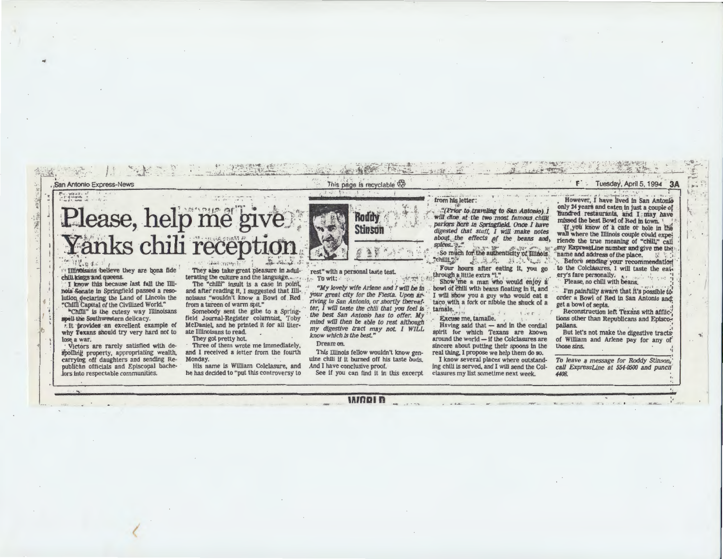

hois Senate in Springfield passed a resolution declaring the Land of Lincoln the "Chilli Capital of the Civilized World."

"Chilli" is the cutesy way Illinoisans spell the Southwestern delicacy.

r. It provides an excellent example of why Texans should try very hard not to lose a war.

Victors are rarely satisfied with despoiling property, appropriating wealth, carrying off daughters and sending Republican officials and Episcopal bachelors into respectable communities.

and after reading it, I suggested that Illinoisans "wouldn't know a Bowl of Red from a tureen of warm spit."

Somebody sent the gibe to a Springfield Journal-Register columnist, Toby McDaniel, and he printed it for all literate Illinoisans to read.

They got pretty hot. Three of them wrote me immediately. and I received a letter from the fourth

Monday. His name is William Colclasure, and he has decided to "put this controversy to

your great city for the Fiesta. Upon arriving in San Antonio, or shortly thereafter, I will taste the chili that you feel is the best San Antonio has to offer. My mind will then be able to rest although my digestive tract may not. I WILL know which is the best."

Dream on.

This Illinois fellow wouldn't know genuine chili if it burned off his taste buds. And I have conclusive proof. See if you can find it in this excerpt

bowl of chili with beans floating in it, and I will show you a guy who would eat a

taco with a fork or nibble the shuck of a tamale.

Excuse me, tamalle.

Having said that - and in the cordial spirit for which Texans are known around the world - if the Colclasures are sincere about putting their spoons in the real thing, I propose we help them do so.

I know several places where outstanding chili is served, and I will send the Colclasures my list sometime next week.

I'm painfully aware that it's possible to order a Bowl of Red in San Antonio and: get a bowl of sepia.

Reconstruction left Texans with afflictions other than Republicans and Episcopalians.

But let's not make the digestive tracts of William and Arlene pay for any of those sins.

To leave a message for Roddy Stinson, call ExpressLine at 554-0500 and punch 4408.

**INODID**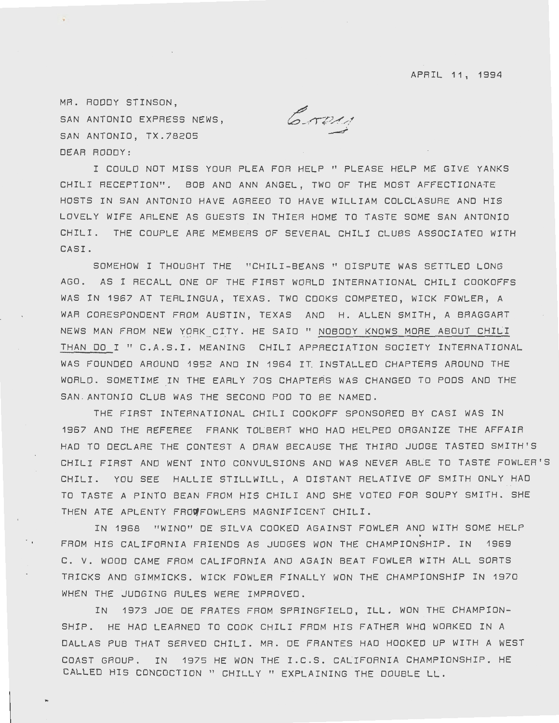APRIL 11, 1994

MR. RODDY STINSON, SAN ANTONIO EXPRESS NEWS, SAN ANTONIO, TX.78205 DEAR RODDY:

Crow

I COULD NOT MISS YOUR PLEA FOR HELP" PLEASE HELP ME GIVE YANKS CHILI RECEPTION". 808 AND ANN ANGEL, TWO OF THE MOST AFFECTIONATE-HOSTS IN SAN ANTONIO HAVE AGREED TO HAVE WILLIAM COLCLASURE ANO HIS LOVELY WIFE ARLENE AS GUESTS IN THIER HOME TO TASTE SOME SAN ANTONIO CHILI. THE COUPLE ARE MEMBERS OF SEVERAL CHILI CLUBS ASSOCIATED WITH CASI.

SOMEHOW I THOUGHT THE "CHILI-BEANS" DISPUTE WAS SETTLED LONG AGO. AS I RECALL ONE OF THE FIRST WORLD INTERNATIONAL CHILI COOKOFFS WAS IN 1967 AT TERLINGUA, TEXAS. TWO COOKS COMPETED, WICK FOWLER, A WAR CORESPONDENT FROM AUSTIN, TEXAS ANO H. ALLEN SMITH, A BRAGGART NEWS MAN FROM NEW YORK CITY. HE SAID" NOBODY KNOWS MORE ABOUT CHILI THAN DO I " C.A.S.I. MEANING CHILI APPRECIATION SOCIETY INTERNATIONAL WAS FOUNDED AROUND 1952 AND IN 1964 IT INSTALLED CHAPTERS AROUND THE WORLD. SOMETIME IN THE EARLY 70S CHAPTERS WAS CHANGED TO PODS AND THE SAN . ANTONIO CLUB WAS THE SECOND POD TO BE NAMED.

THE FIRST INTERNATIONAL CHILI CDOKOFF SPONSORED BY CASI WAS IN 1967 ANO THE REFEREE FRANK TOLBERT WHO HAO HELPED ORGANIZE THE AFFAIR HAO TO DECLARE THE CONTEST A DRAW BECAUSE THE THIRD JUDGE TASTED SMITH'S CHILI FIRST ANO WENT INTO CONVULSIONS ANO WAS NEVER ABLE TO TASTE FOWLER'S CHILI. YOU SEE HALLIE STILLWILL, A DISTANT RELATIVE OF SMITH ONLY HAD TO TASTE A PINTO BEAN FROM HIS CHILI AND SHE VOTED FOR SOUPY SMITH. SHE THEN ATE APLENTY FROWFOWLERS MAGNIFICENT CHILI.

IN 1968 "WINO" DE SILVA COOKED AGAINST FOWLER AND WITH SOME HELP FROM HIS CALIFORNIA FRIENDS AS JUDGES WON THE CHAMPIONSHIP. IN 1969 C. V. WOOD CAME FROM CALIFORNIA AND AGAIN BEAT FOWLER WITH ALL SORTS TRICKS ANO GIMMICKS. WICK FOWLER FINALLY WON THE CHAMPIONSHIP IN 1970 WHEN THE JUDGING RULES WERE IMPROVED.

IN 1973 JOE OE FRATES FROM SPRINGFIELD, ILL. WON THE CHAMPION-SHIP. HE HAO LEARNED TO COOK CHILI FROM HIS FATHER WHO WORKED IN A DALLAS PUB THAT SERVED CHILI. MR. DE FRANTES HAD HOOKED UP WITH A WEST COAST GROUP. IN 1975 HE WON THE I.C.S. CALIFORNIA CHAMPIONSHIP. HE CALLED HIS CONCOCTION" CHILLY" EXPLAINING THE DOUBLE LL.